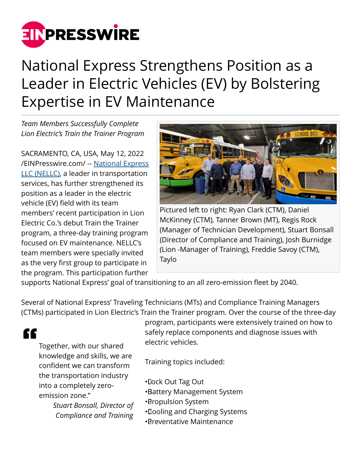

## National Express Strengthens Position as a Leader in Electric Vehicles (EV) by Bolstering Expertise in EV Maintenance

*Team Members Successfully Complete Lion Electric's Train the Trainer Program*

SACRAMENTO, CA, USA, May 12, 2022 [/EINPresswire.com/](http://www.einpresswire.com) -- [National Express](https://www.nellc.com/) [LLC \(NELLC\)](https://www.nellc.com/), a leader in transportation services, has further strengthened its position as a leader in the electric vehicle (EV) field with its team members' recent participation in Lion Electric Co.'s debut Train the Trainer program, a three-day training program focused on EV maintenance. NELLC's team members were specially invited as the very first group to participate in the program. This participation further



Pictured left to right: Ryan Clark (CTM), Daniel McKinney (CTM), Tanner Brown (MT), Regis Rock (Manager of Technician Development), Stuart Bonsall (Director of Compliance and Training), Josh Burnidge (Lion -Manager of Training), Freddie Savoy (CTM), Taylo

supports National Express' goal of transitioning to an all zero-emission fleet by 2040.

Several of National Express' Traveling Technicians (MTs) and Compliance Training Managers (CTMs) participated in Lion Electric's Train the Trainer program. Over the course of the three-day

## "

Together, with our shared knowledge and skills, we are confident we can transform the transportation industry into a completely zeroemission zone."

> *Stuart Bonsall, Director of Compliance and Training*

program, participants were extensively trained on how to safely replace components and diagnose issues with electric vehicles.

Training topics included:

- • Lock Out Tag Out
- • Battery Management System
- • Propulsion System
- • Cooling and Charging Systems
- • Preventative Maintenance